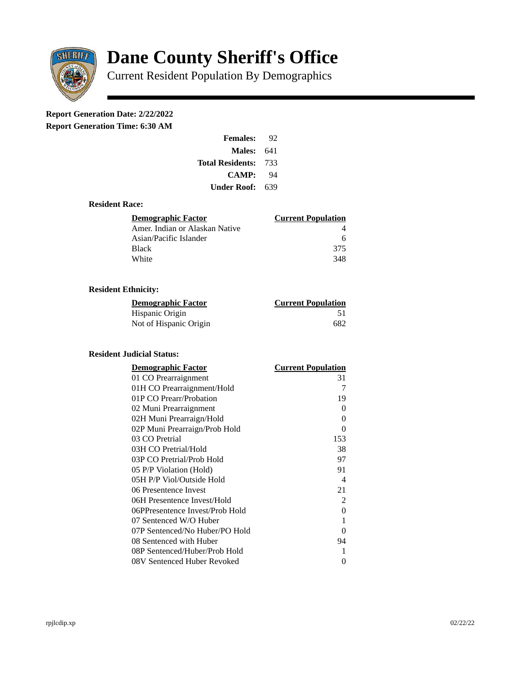

# **Dane County Sheriff's Office**

Current Resident Population By Demographics

# **Report Generation Date: 2/22/2022**

**Report Generation Time: 6:30 AM** 

| <b>Females:</b>         | 92   |  |
|-------------------------|------|--|
| Males:                  | 641  |  |
| <b>Total Residents:</b> | -733 |  |
| <b>CAMP:</b>            | 94   |  |
| Under Roof: \           | 639  |  |

### **Resident Race:**

| Demographic Factor             | <b>Current Population</b> |
|--------------------------------|---------------------------|
| Amer. Indian or Alaskan Native |                           |
| Asian/Pacific Islander         | 6                         |
| Black                          | 375                       |
| White                          | 348                       |

# **Resident Ethnicity:**

| <u> Demographic Factor</u> | <b>Current Population</b> |
|----------------------------|---------------------------|
| Hispanic Origin            | 51                        |
| Not of Hispanic Origin     | 682                       |

# **Resident Judicial Status:**

| <b>Demographic Factor</b>       | <b>Current Population</b> |
|---------------------------------|---------------------------|
| 01 CO Prearraignment            | 31                        |
| 01H CO Prearraignment/Hold      | 7                         |
| 01P CO Prearr/Probation         | 19                        |
| 02 Muni Prearraignment          | 0                         |
| 02H Muni Prearraign/Hold        | 0                         |
| 02P Muni Prearraign/Prob Hold   | 0                         |
| 03 CO Pretrial                  | 153                       |
| 03H CO Pretrial/Hold            | 38                        |
| 03P CO Pretrial/Prob Hold       | 97                        |
| 05 P/P Violation (Hold)         | 91                        |
| 05H P/P Viol/Outside Hold       | $\overline{\mathcal{A}}$  |
| 06 Presentence Invest           | 21                        |
| 06H Presentence Invest/Hold     | $\mathcal{P}$             |
| 06PPresentence Invest/Prob Hold | 0                         |
| 07 Sentenced W/O Huber          | $\mathbf{1}$              |
| 07P Sentenced/No Huber/PO Hold  | 0                         |
| 08 Sentenced with Huber         | 94                        |
| 08P Sentenced/Huber/Prob Hold   | 1                         |
| 08V Sentenced Huber Revoked     | 0                         |